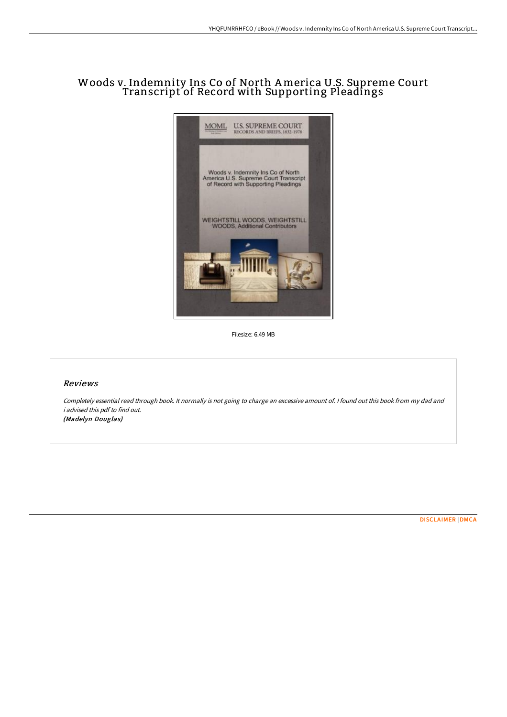# Woods v. Indemnity Ins Co of North America U.S. Supreme Court Transcript of Record with Supporting Pleadings



Filesize: 6.49 MB

### Reviews

Completely essential read through book. It normally is not going to charge an excessive amount of. <sup>I</sup> found out this book from my dad and i advised this pdf to find out. (Madelyn Douglas)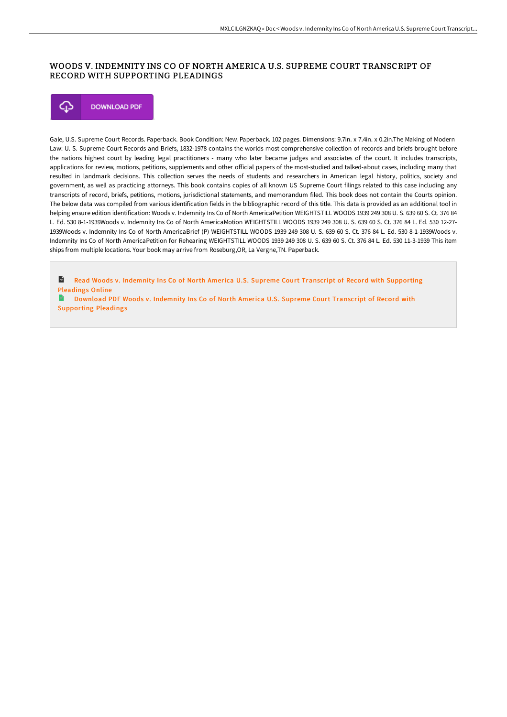## WOODS V. INDEMNITY INS CO OF NORTH AMERICA U.S. SUPREME COURT TRANSCRIPT OF RECORD WITH SUPPORTING PLEADINGS



Gale, U.S. Supreme Court Records. Paperback. Book Condition: New. Paperback. 102 pages. Dimensions: 9.7in. x 7.4in. x 0.2in.The Making of Modern Law: U. S. Supreme Court Records and Briefs, 1832-1978 contains the worlds most comprehensive collection of records and briefs brought before the nations highest court by leading legal practitioners - many who later became judges and associates of the court. It includes transcripts, applications for review, motions, petitions, supplements and other oFicial papers of the most-studied and talked-about cases, including many that resulted in landmark decisions. This collection serves the needs of students and researchers in American legal history, politics, society and government, as well as practicing attorneys. This book contains copies of all known US Supreme Court filings related to this case including any transcripts of record, briefs, petitions, motions, jurisdictional statements, and memorandum filed. This book does not contain the Courts opinion. The below data was compiled from various identification fields in the bibliographic record of this title. This data is provided as an additional tool in helping ensure edition identification: Woods v. Indemnity Ins Co of North AmericaPetition WEIGHTSTILL WOODS 1939 249 308 U. S. 639 60 S. Ct. 376 84 L. Ed. 530 8-1-1939Woods v. Indemnity Ins Co of North AmericaMotion WEIGHTSTILL WOODS 1939 249 308 U. S. 639 60 S. Ct. 376 84 L. Ed. 530 12-27- 1939Woods v. Indemnity Ins Co of North AmericaBrief (P) WEIGHTSTILL WOODS 1939 249 308 U. S. 639 60 S. Ct. 376 84 L. Ed. 530 8-1-1939Woods v. Indemnity Ins Co of North AmericaPetition for Rehearing WEIGHTSTILL WOODS 1939 249 308 U. S. 639 60 S. Ct. 376 84 L. Ed. 530 11-3-1939 This item ships from multiple locations. Your book may arrive from Roseburg,OR, La Vergne,TN. Paperback.

 $\mathbf{u}$ Read Woods v. Indemnity Ins Co of North America U.S. Supreme Court Transcript of Record with [Supporting](http://techno-pub.tech/woods-v-indemnity-ins-co-of-north-america-u-s-su.html) Pleadings Online

B Download PDF Woods v. Indemnity Ins Co of North America U.S. Supreme Court Transcript of Record with [Supporting](http://techno-pub.tech/woods-v-indemnity-ins-co-of-north-america-u-s-su.html) Pleadings